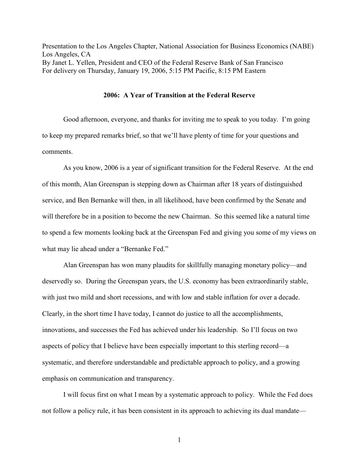Presentation to the Los Angeles Chapter, National Association for Business Economics (NABE) Los Angeles, CA By Janet L. Yellen, President and CEO of the Federal Reserve Bank of San Francisco For delivery on Thursday, January 19, 2006, 5:15 PM Pacific, 8:15 PM Eastern

## 2006: A Year of Transition at the Federal Reserve

 Good afternoon, everyone, and thanks for inviting me to speak to you today. I'm going to keep my prepared remarks brief, so that we'll have plenty of time for your questions and comments.

 As you know, 2006 is a year of significant transition for the Federal Reserve. At the end of this month, Alan Greenspan is stepping down as Chairman after 18 years of distinguished service, and Ben Bernanke will then, in all likelihood, have been confirmed by the Senate and will therefore be in a position to become the new Chairman. So this seemed like a natural time to spend a few moments looking back at the Greenspan Fed and giving you some of my views on what may lie ahead under a "Bernanke Fed."

 Alan Greenspan has won many plaudits for skillfully managing monetary policy—and deservedly so. During the Greenspan years, the U.S. economy has been extraordinarily stable, with just two mild and short recessions, and with low and stable inflation for over a decade. Clearly, in the short time I have today, I cannot do justice to all the accomplishments, innovations, and successes the Fed has achieved under his leadership. So I'll focus on two aspects of policy that I believe have been especially important to this sterling record—a systematic, and therefore understandable and predictable approach to policy, and a growing emphasis on communication and transparency.

 I will focus first on what I mean by a systematic approach to policy. While the Fed does not follow a policy rule, it has been consistent in its approach to achieving its dual mandate—

1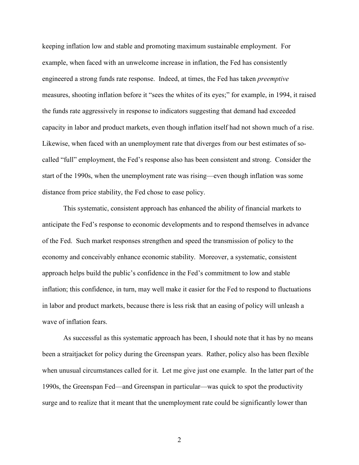keeping inflation low and stable and promoting maximum sustainable employment. For example, when faced with an unwelcome increase in inflation, the Fed has consistently engineered a strong funds rate response. Indeed, at times, the Fed has taken preemptive measures, shooting inflation before it "sees the whites of its eyes;" for example, in 1994, it raised the funds rate aggressively in response to indicators suggesting that demand had exceeded capacity in labor and product markets, even though inflation itself had not shown much of a rise. Likewise, when faced with an unemployment rate that diverges from our best estimates of socalled "full" employment, the Fed's response also has been consistent and strong. Consider the start of the 1990s, when the unemployment rate was rising—even though inflation was some distance from price stability, the Fed chose to ease policy.

This systematic, consistent approach has enhanced the ability of financial markets to anticipate the Fed's response to economic developments and to respond themselves in advance of the Fed. Such market responses strengthen and speed the transmission of policy to the economy and conceivably enhance economic stability. Moreover, a systematic, consistent approach helps build the public's confidence in the Fed's commitment to low and stable inflation; this confidence, in turn, may well make it easier for the Fed to respond to fluctuations in labor and product markets, because there is less risk that an easing of policy will unleash a wave of inflation fears.

 As successful as this systematic approach has been, I should note that it has by no means been a straitjacket for policy during the Greenspan years. Rather, policy also has been flexible when unusual circumstances called for it. Let me give just one example. In the latter part of the 1990s, the Greenspan Fed—and Greenspan in particular—was quick to spot the productivity surge and to realize that it meant that the unemployment rate could be significantly lower than

2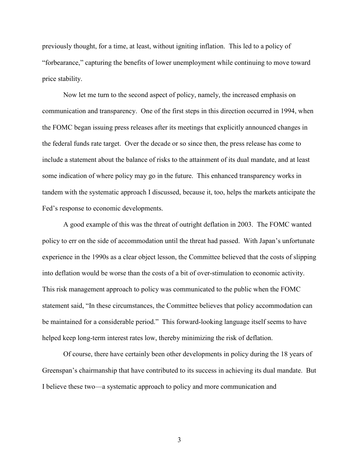previously thought, for a time, at least, without igniting inflation. This led to a policy of "forbearance," capturing the benefits of lower unemployment while continuing to move toward price stability.

 Now let me turn to the second aspect of policy, namely, the increased emphasis on communication and transparency. One of the first steps in this direction occurred in 1994, when the FOMC began issuing press releases after its meetings that explicitly announced changes in the federal funds rate target. Over the decade or so since then, the press release has come to include a statement about the balance of risks to the attainment of its dual mandate, and at least some indication of where policy may go in the future. This enhanced transparency works in tandem with the systematic approach I discussed, because it, too, helps the markets anticipate the Fed's response to economic developments.

A good example of this was the threat of outright deflation in 2003. The FOMC wanted policy to err on the side of accommodation until the threat had passed. With Japan's unfortunate experience in the 1990s as a clear object lesson, the Committee believed that the costs of slipping into deflation would be worse than the costs of a bit of over-stimulation to economic activity. This risk management approach to policy was communicated to the public when the FOMC statement said, "In these circumstances, the Committee believes that policy accommodation can be maintained for a considerable period." This forward-looking language itself seems to have helped keep long-term interest rates low, thereby minimizing the risk of deflation.

 Of course, there have certainly been other developments in policy during the 18 years of Greenspan's chairmanship that have contributed to its success in achieving its dual mandate. But I believe these two—a systematic approach to policy and more communication and

3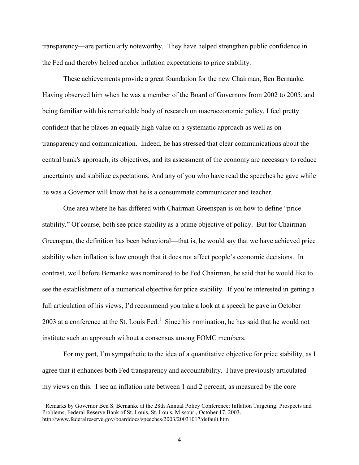transparency—are particularly noteworthy. They have helped strengthen public confidence in the Fed and thereby helped anchor inflation expectations to price stability.

 These achievements provide a great foundation for the new Chairman, Ben Bernanke. Having observed him when he was a member of the Board of Governors from 2002 to 2005, and being familiar with his remarkable body of research on macroeconomic policy, I feel pretty confident that he places an equally high value on a systematic approach as well as on transparency and communication. Indeed, he has stressed that clear communications about the central bank's approach, its objectives, and its assessment of the economy are necessary to reduce uncertainty and stabilize expectations. And any of you who have read the speeches he gave while he was a Governor will know that he is a consummate communicator and teacher.

 One area where he has differed with Chairman Greenspan is on how to define "price stability." Of course, both see price stability as a prime objective of policy. But for Chairman Greenspan, the definition has been behavioral—that is, he would say that we have achieved price stability when inflation is low enough that it does not affect people's economic decisions. In contrast, well before Bernanke was nominated to be Fed Chairman, he said that he would like to see the establishment of a numerical objective for price stability. If you're interested in getting a full articulation of his views, I'd recommend you take a look at a speech he gave in October 2003 at a conference at the St. Louis Fed. $<sup>1</sup>$  Since his nomination, he has said that he would not</sup> institute such an approach without a consensus among FOMC members.

 For my part, I'm sympathetic to the idea of a quantitative objective for price stability, as I agree that it enhances both Fed transparency and accountability. I have previously articulated my views on this. I see an inflation rate between 1 and 2 percent, as measured by the core

<sup>&</sup>lt;sup>1</sup> Remarks by Governor Ben S. Bernanke at the 28th Annual Policy Conference: Inflation Targeting: Prospects and Problems, Federal Reserve Bank of St. Louis, St. Louis, Missouri, October 17, 2003. http://www.federalreserve.gov/boarddocs/speeches/2003/20031017/default.htm